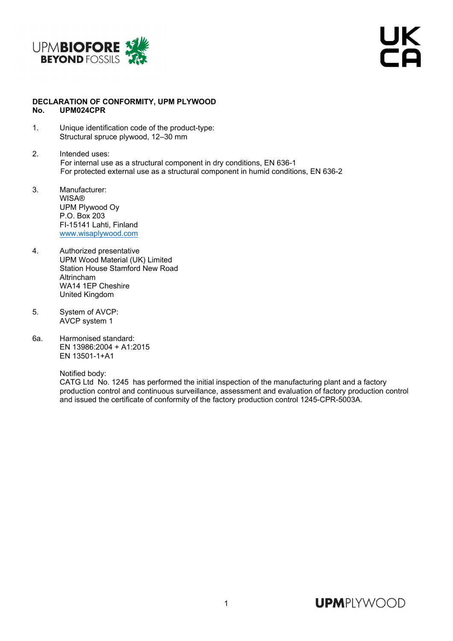

## **DECLARATION OF CONFORMITY, UPM PLYWOOD No. UPM024CPR**

- 1. Unique identification code of the product-type: Structural spruce plywood, 12–30 mm
- 2. Intended uses: For internal use as a structural component in dry conditions, EN 636-1 For protected external use as a structural component in humid conditions, EN 636-2
- 3. Manufacturer: **WISA®** UPM Plywood Oy P.O. Box 203 FI-15141 Lahti, Finland www.wisaplywood.com
- 4. Authorized presentative UPM Wood Material (UK) Limited Station House Stamford New Road Altrincham WA14 1EP Cheshire United Kingdom
- 5. System of AVCP: AVCP system 1
- 6a. Harmonised standard: EN 13986:2004 + A1:2015 EN 13501-1+A1

Notified body:

 CATG Ltd No. 1245 has performed the initial inspection of the manufacturing plant and a factory production control and continuous surveillance, assessment and evaluation of factory production control and issued the certificate of conformity of the factory production control 1245-CPR-5003A.

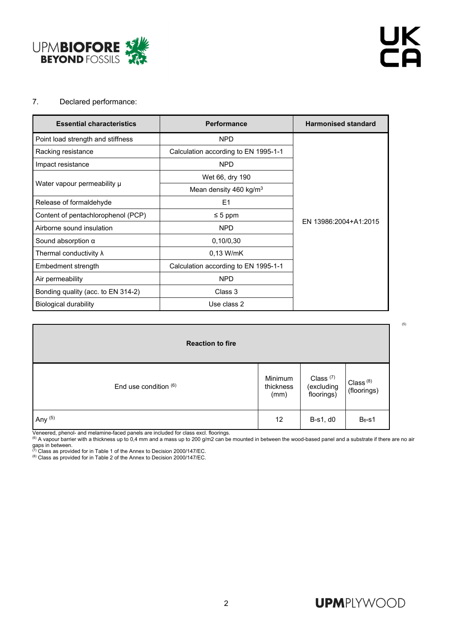

(5)

## 7. Declared performance:

| <b>Essential characteristics</b>   | <b>Performance</b>                   | <b>Harmonised standard</b> |  |  |
|------------------------------------|--------------------------------------|----------------------------|--|--|
| Point load strength and stiffness  | <b>NPD</b>                           |                            |  |  |
| Racking resistance                 | Calculation according to EN 1995-1-1 |                            |  |  |
| Impact resistance                  | <b>NPD</b>                           |                            |  |  |
| Water vapour permeability µ        | Wet 66, dry 190                      |                            |  |  |
|                                    | Mean density 460 kg/m <sup>3</sup>   |                            |  |  |
| Release of formaldehyde            | E <sub>1</sub>                       |                            |  |  |
| Content of pentachlorophenol (PCP) | $\leq 5$ ppm                         |                            |  |  |
| Airborne sound insulation          | <b>NPD</b>                           | EN 13986:2004+A1:2015      |  |  |
| Sound absorption $\alpha$          | 0,10/0,30                            |                            |  |  |
| Thermal conductivity $\lambda$     | $0.13$ W/mK                          |                            |  |  |
| Embedment strength                 | Calculation according to EN 1995-1-1 |                            |  |  |
| Air permeability                   | <b>NPD</b>                           |                            |  |  |
| Bonding quality (acc. to EN 314-2) | Class 3                              |                            |  |  |
| Biological durability              | Use class 2                          |                            |  |  |

| <b>Reaction to fire</b> |                              |                                                  |                            |  |  |  |  |  |
|-------------------------|------------------------------|--------------------------------------------------|----------------------------|--|--|--|--|--|
| End use condition $(6)$ | Minimum<br>thickness<br>(mm) | Class <sup>(7)</sup><br>(excluding<br>floorings) | Class $(8)$<br>(floorings) |  |  |  |  |  |
| Any $(5)$               | 12                           | B-s1, d0                                         | $B_{fl}$ -s1               |  |  |  |  |  |

Veneered, phenol- and melamine-faced panels are included for class excl. floorings.<br><sup>(6)</sup> A vapour barrier with a thickness up to 0,4 mm and a mass up to 200 g/m2 can be mounted in between the wood-based panel and a substr

gaps in between.<br><sup>(7)</sup> Class as provided for in Table 1 of the Annex to Decision 2000/147/EC.<br><sup>(8)</sup> Class as provided for in Table 2 of the Annex to Decision 2000/147/EC.